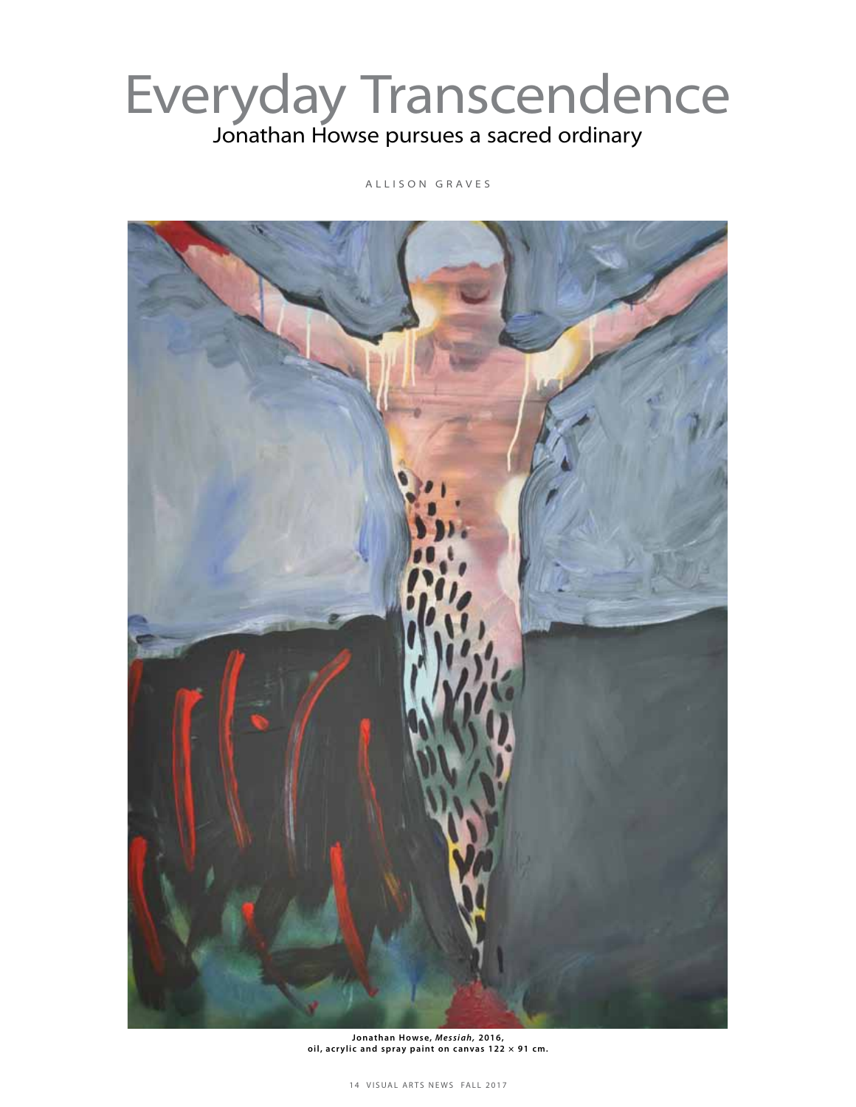## Everyday Transcendence Jonathan Howse pursues a sacred ordinary

A L L I S O N G R A V E S



Jonathan Howse, Messiah, 2016, oil, acrylic and spray paint on canvas  $122 \times 91$  cm.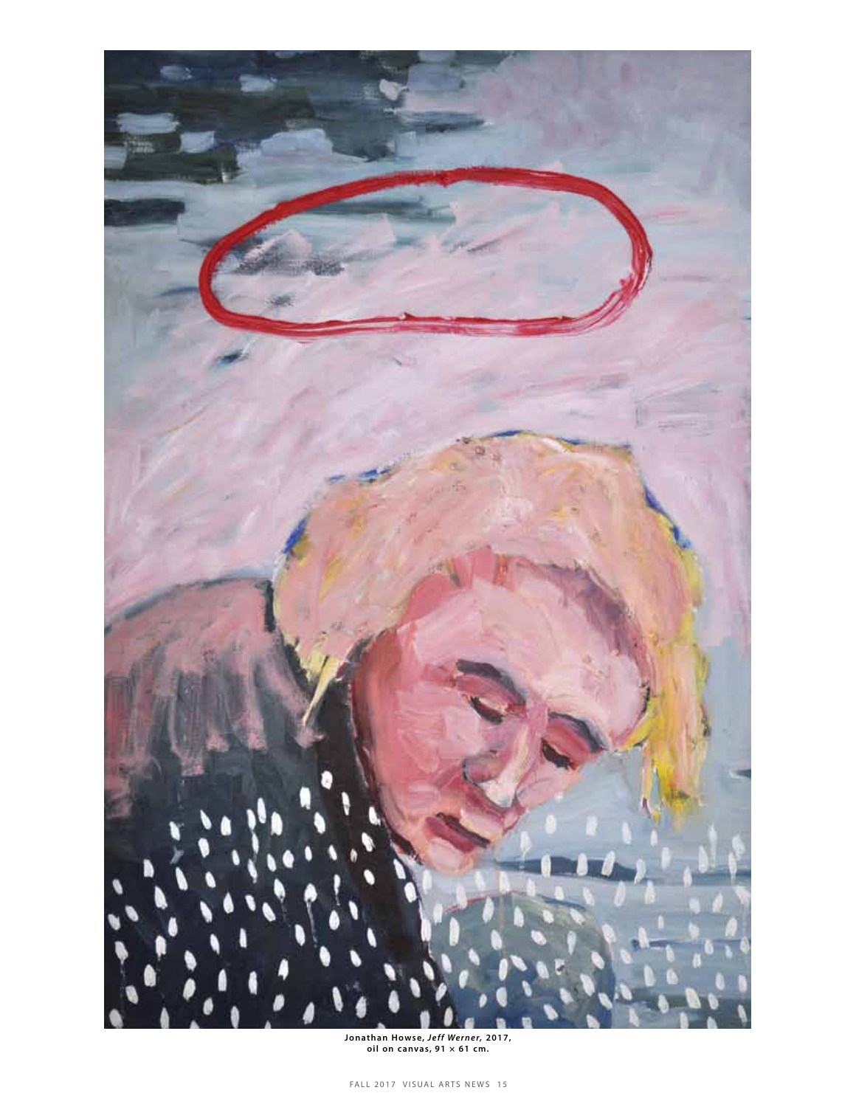

Jonathan Howse, *Jeff Werner*, 2017,<br>oil on canvas, 91 × 61 cm.